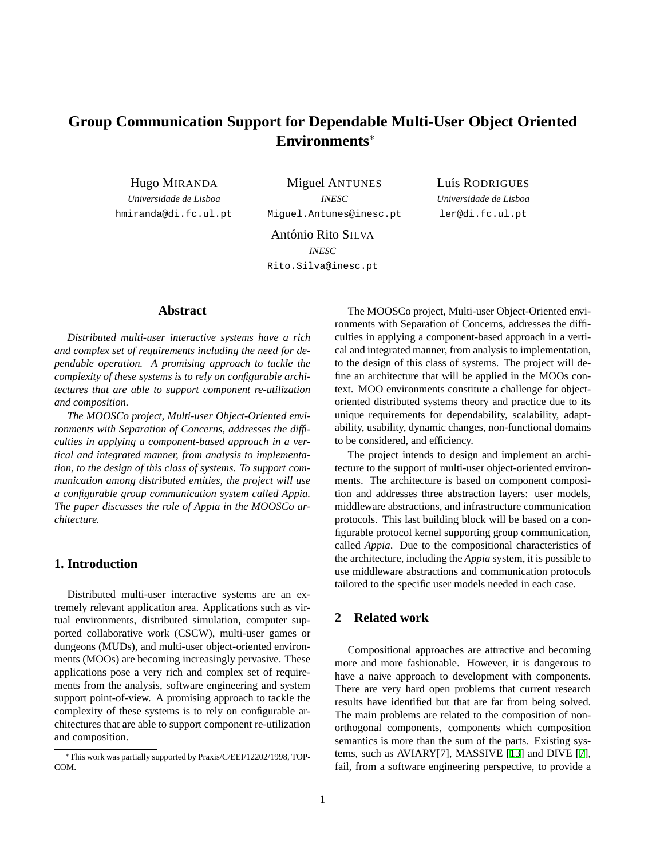# **Group Communication Support for Dependable Multi-User Object Oriented Environments**<sup>∗</sup>

Hugo MIRANDA

*Universidade de Lisboa* hmiranda@di.fc.ul.pt

Miguel ANTUNES *INESC* Miguel.Antunes@inesc.pt Luís RODRIGUES *Universidade de Lisboa* ler@di.fc.ul.pt

António Rito SILVA *INESC* Rito.Silva@inesc.pt

## **Abstract**

*Distributed multi-user interactive systems have a rich and complex set of requirements including the need for dependable operation. A promising approach to tackle the complexity of these systems is to rely on configurable architectures that are able to support component re-utilization and composition.*

*The MOOSCo project, Multi-user Object-Oriented environments with Separation of Concerns, addresses the difficulties in applying a component-based approach in a vertical and integrated manner, from analysis to implementation, to the design of this class of systems. To support communication among distributed entities, the project will use a configurable group communication system called Appia. The paper discusses the role of Appia in the MOOSCo architecture.*

#### **1. Introduction**

Distributed multi-user interactive systems are an extremely relevant application area. Applications such as virtual environments, distributed simulation, computer supported collaborative work (CSCW), multi-user games or dungeons (MUDs), and multi-user object-oriented environments (MOOs) are becoming increasingly pervasive. These applications pose a very rich and complex set of requirements from the analysis, software engineering and system support point-of-view. A promising approach to tackle the complexity of these systems is to rely on configurable architectures that are able to support component re-utilization and composition.

The MOOSCo project, Multi-user Object-Oriented environments with Separation of Concerns, addresses the difficulties in applying a component-based approach in a vertical and integrated manner, from analysis to implementation, to the design of this class of systems. The project will define an architecture that will be applied in the MOOs context. MOO environments constitute a challenge for objectoriented distributed systems theory and practice due to its unique requirements for dependability, scalability, adaptability, usability, dynamic changes, non-functional domains to be considered, and efficiency.

The project intends to design and implement an architecture to the support of multi-user object-oriented environments. The architecture is based on component composition and addresses three abstraction layers: user models, middleware abstractions, and infrastructure communication protocols. This last building block will be based on a configurable protocol kernel supporting group communication, called *Appia*. Due to the compositional characteristics of the architecture, including the *Appia* system, it is possible to use middleware abstractions and communication protocols tailored to the specific user models needed in each case.

## **2 Related work**

Compositional approaches are attractive and becoming more and more fashionable. However, it is dangerous to have a naive approach to development with components. There are very hard open problems that current research results have identified but that are far from being solved. The main problems are related to the composition of nonorthogonal components, components which composition semantics is more than the sum of the parts. Existing systems, such as AVIARY[7], MASSIVE [\[13](#page-3-0)] and DIVE [\[7](#page-3-1)], fail, from a software engineering perspective, to provide a

<sup>∗</sup>This work was partially supported by Praxis/C/EEI/12202/1998, TOP-COM.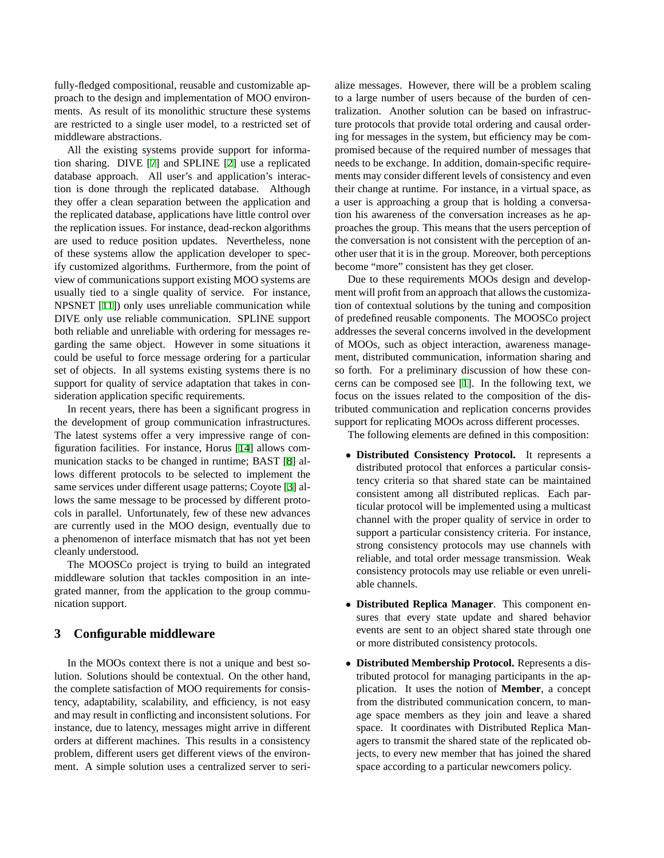fully-fledged compositional, reusable and customizable approach to the design and implementation of MOO environments. As result of its monolithic structure these systems are restricted to a single user model, to a restricted set of middleware abstractions.

All the existing systems provide support for information sharing. DIVE [[7\]](#page-3-1) and SPLINE [[2\]](#page-3-2) use a replicated database approach. All user's and application's interaction is done through the replicated database. Although they offer a clean separation between the application and the replicated database, applications have little control over the replication issues. For instance, dead-reckon algorithms are used to reduce position updates. Nevertheless, none of these systems allow the application developer to specify customized algorithms. Furthermore, from the point of view of communications support existing MOO systems are usually tied to a single quality of service. For instance, NPSNET [\[11](#page-3-3)]) only uses unreliable communication while DIVE only use reliable communication. SPLINE support both reliable and unreliable with ordering for messages regarding the same object. However in some situations it could be useful to force message ordering for a particular set of objects. In all systems existing systems there is no support for quality of service adaptation that takes in consideration application specific requirements.

In recent years, there has been a significant progress in the development of group communication infrastructures. The latest systems offer a very impressive range of configuration facilities. For instance, Horus [\[14](#page-3-4)] allows communication stacks to be changed in runtime; BAST [\[8](#page-3-5)] allows different protocols to be selected to implement the same services under different usage patterns; Coyote [\[3](#page-3-6)] allows the same message to be processed by different protocols in parallel. Unfortunately, few of these new advances are currently used in the MOO design, eventually due to a phenomenon of interface mismatch that has not yet been cleanly understood.

The MOOSCo project is trying to build an integrated middleware solution that tackles composition in an integrated manner, from the application to the group communication support.

#### **3 Configurable middleware**

In the MOOs context there is not a unique and best solution. Solutions should be contextual. On the other hand, the complete satisfaction of MOO requirements for consistency, adaptability, scalability, and efficiency, is not easy and may result in conflicting and inconsistent solutions. For instance, due to latency, messages might arrive in different orders at different machines. This results in a consistency problem, different users get different views of the environment. A simple solution uses a centralized server to serialize messages. However, there will be a problem scaling to a large number of users because of the burden of centralization. Another solution can be based on infrastructure protocols that provide total ordering and causal ordering for messages in the system, but efficiency may be compromised because of the required number of messages that needs to be exchange. In addition, domain-specific requirements may consider different levels of consistency and even their change at runtime. For instance, in a virtual space, as a user is approaching a group that is holding a conversation his awareness of the conversation increases as he approaches the group. This means that the users perception of the conversation is not consistent with the perception of another user that it is in the group. Moreover, both perceptions become "more" consistent has they get closer.

Due to these requirements MOOs design and development will profit from an approach that allows the customization of contextual solutions by the tuning and composition of predefined reusable components. The MOOSCo project addresses the several concerns involved in the development of MOOs, such as object interaction, awareness management, distributed communication, information sharing and so forth. For a preliminary discussion of how these concerns can be composed see [[1\]](#page-3-7). In the following text, we focus on the issues related to the composition of the distributed communication and replication concerns provides support for replicating MOOs across different processes.

The following elements are defined in this composition:

- **Distributed Consistency Protocol.** It represents a distributed protocol that enforces a particular consistency criteria so that shared state can be maintained consistent among all distributed replicas. Each particular protocol will be implemented using a multicast channel with the proper quality of service in order to support a particular consistency criteria. For instance, strong consistency protocols may use channels with reliable, and total order message transmission. Weak consistency protocols may use reliable or even unreliable channels.
- **Distributed Replica Manager**. This component ensures that every state update and shared behavior events are sent to an object shared state through one or more distributed consistency protocols.
- **Distributed Membership Protocol.** Represents a distributed protocol for managing participants in the application. It uses the notion of **Member**, a concept from the distributed communication concern, to manage space members as they join and leave a shared space. It coordinates with Distributed Replica Managers to transmit the shared state of the replicated objects, to every new member that has joined the shared space according to a particular newcomers policy.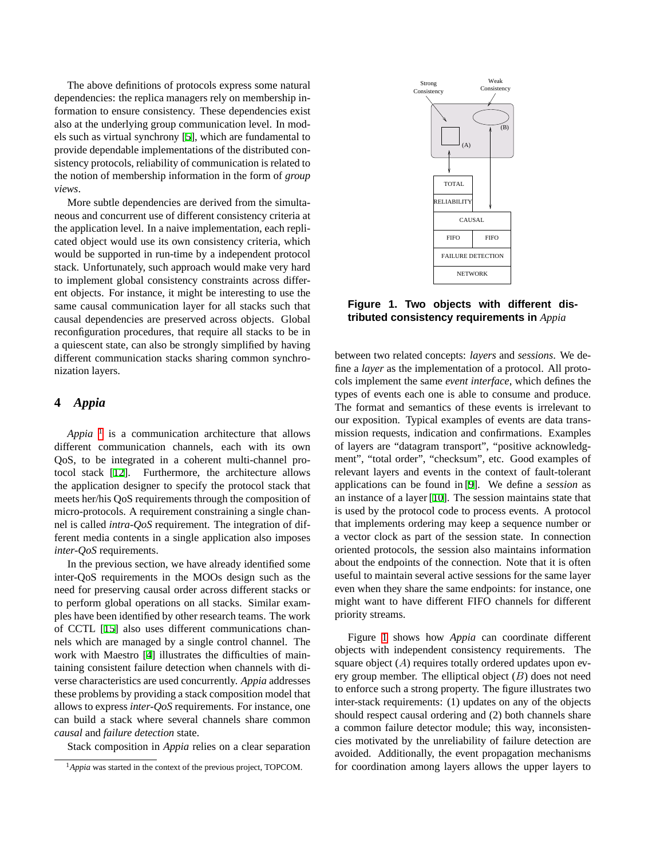The above definitions of protocols express some natural dependencies: the replica managers rely on membership information to ensure consistency. These dependencies exist also at the underlying group communication level. In models such as virtual synchrony [\[5](#page-3-8)], which are fundamental to provide dependable implementations of the distributed consistency protocols, reliability of communication is related to the notion of membership information in the form of *group views*.

More subtle dependencies are derived from the simultaneous and concurrent use of different consistency criteria at the application level. In a naive implementation, each replicated object would use its own consistency criteria, which would be supported in run-time by a independent protocol stack. Unfortunately, such approach would make very hard to implement global consistency constraints across different objects. For instance, it might be interesting to use the same causal communication layer for all stacks such that causal dependencies are preserved across objects. Global reconfiguration procedures, that require all stacks to be in a quiescent state, can also be strongly simplified by having different communication stacks sharing common synchronization layers.

#### **4** *Appia*

*Appia*<sup>[1](#page-2-0)</sup> is a communication architecture that allows different communication channels, each with its own QoS, to be integrated in a coherent multi-channel protocol stack [[12\]](#page-3-9). Furthermore, the architecture allows the application designer to specify the protocol stack that meets her/his QoS requirements through the composition of micro-protocols. A requirement constraining a single channel is called *intra-QoS* requirement. The integration of different media contents in a single application also imposes *inter-QoS* requirements.

In the previous section, we have already identified some inter-QoS requirements in the MOOs design such as the need for preserving causal order across different stacks or to perform global operations on all stacks. Similar examples have been identified by other research teams. The work of CCTL [[15\]](#page-3-10) also uses different communications channels which are managed by a single control channel. The work with Maestro [\[4](#page-3-11)] illustrates the difficulties of maintaining consistent failure detection when channels with diverse characteristics are used concurrently. *Appia* addresses these problems by providing a stack composition model that allows to express *inter-QoS* requirements. For instance, one can build a stack where several channels share common *causal* and *failure detection* state.

Stack composition in *Appia* relies on a clear separation



<span id="page-2-1"></span>**Figure 1. Two objects with different distributed consistency requirements in** *Appia*

between two related concepts: *layers* and *sessions*. We define a *layer* as the implementation of a protocol. All protocols implement the same *event interface*, which defines the types of events each one is able to consume and produce. The format and semantics of these events is irrelevant to our exposition. Typical examples of events are data transmission requests, indication and confirmations. Examples of layers are "datagram transport", "positive acknowledgment", "total order", "checksum", etc. Good examples of relevant layers and events in the context of fault-tolerant applications can be found in [\[9](#page-3-12)]. We define a *session* as an instance of a layer [\[10](#page-3-13)]. The session maintains state that is used by the protocol code to process events. A protocol that implements ordering may keep a sequence number or a vector clock as part of the session state. In connection oriented protocols, the session also maintains information about the endpoints of the connection. Note that it is often useful to maintain several active sessions for the same layer even when they share the same endpoints: for instance, one might want to have different FIFO channels for different priority streams.

Figure [1](#page-2-1) shows how *Appia* can coordinate different objects with independent consistency requirements. The square object  $(A)$  requires totally ordered updates upon every group member. The elliptical object  $(B)$  does not need to enforce such a strong property. The figure illustrates two inter-stack requirements: (1) updates on any of the objects should respect causal ordering and (2) both channels share a common failure detector module; this way, inconsistencies motivated by the unreliability of failure detection are avoided. Additionally, the event propagation mechanisms for coordination among layers allows the upper layers to

<span id="page-2-0"></span><sup>&</sup>lt;sup>1</sup>Appia was started in the context of the previous project, TOPCOM.